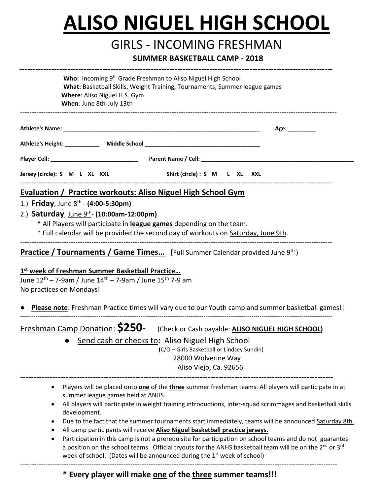# **ALISO NIGUEL HIGH SCHOOL**

## GIRLS - INCOMING FRESHMAN

#### **SUMMER BASKETBALL CAMP - <sup>2018</sup>**

|                                      | Who: Incoming 9 <sup>th</sup> Grade Freshman to Aliso Niguel High School<br>What: Basketball Skills, Weight Training, Tournaments, Summer league games<br>Where: Aliso Niguel H.S. Gym<br>When: June 8th-July 13th                                                                                                                                                                                                                                                                                                                                                                                                                                                                                                                                                                                      |
|--------------------------------------|---------------------------------------------------------------------------------------------------------------------------------------------------------------------------------------------------------------------------------------------------------------------------------------------------------------------------------------------------------------------------------------------------------------------------------------------------------------------------------------------------------------------------------------------------------------------------------------------------------------------------------------------------------------------------------------------------------------------------------------------------------------------------------------------------------|
|                                      | Age: _________                                                                                                                                                                                                                                                                                                                                                                                                                                                                                                                                                                                                                                                                                                                                                                                          |
|                                      |                                                                                                                                                                                                                                                                                                                                                                                                                                                                                                                                                                                                                                                                                                                                                                                                         |
|                                      |                                                                                                                                                                                                                                                                                                                                                                                                                                                                                                                                                                                                                                                                                                                                                                                                         |
| Jersey (circle): S M L XL XXL        | Shirt (circle) : S M L XL XXL                                                                                                                                                                                                                                                                                                                                                                                                                                                                                                                                                                                                                                                                                                                                                                           |
| 1.) Friday, June 8th - (4:00-5:30pm) | Evaluation / Practice workouts: Aliso Niguel High School Gym<br>2.) Saturday, June 9th- (10:00am-12:00pm)<br>* All Players will participate in league games depending on the team.<br>* Full calendar will be provided the second day of workouts on Saturday, June 9th.                                                                                                                                                                                                                                                                                                                                                                                                                                                                                                                                |
| No practices on Mondays!             | <b>Practice / Tournaments / Game Times</b> (Full Summer Calendar provided June 9th)<br>1st week of Freshman Summer Basketball Practice<br>June 12 <sup>th</sup> – 7-9am / June 14 <sup>th</sup> – 7-9am / June 15 <sup>th</sup> 7-9 am<br>Please note: Freshman Practice times will vary due to our Youth camp and summer basketball games!!                                                                                                                                                                                                                                                                                                                                                                                                                                                            |
| $\bullet$                            | Freshman Camp Donation: <b>\$250-</b> (Check or Cash payable: <b>ALISO NIGUEL HIGH SCHOOL</b> )<br>Send cash or checks to: Aliso Niguel High School<br>(C/O - Girls Basketball or Lindsey Sundin)<br>28000 Wolverine Way<br>Aliso Viejo, Ca. 92656                                                                                                                                                                                                                                                                                                                                                                                                                                                                                                                                                      |
| $\bullet$<br>$\bullet$<br>٠          | Players will be placed onto one of the three summer freshman teams. All players will participate in at<br>summer league games held at ANHS.<br>All players will participate in weight training introductions, inter-squad scrimmages and basketball skills<br>development.<br>Due to the fact that the summer tournaments start immediately, teams will be announced Saturday 8th.<br>All camp participants will receive Aliso Niguel basketball practice jerseys.<br>Participation in this camp is not a prerequisite for participation on school teams and do not guarantee<br>a position on the school teams. Official tryouts for the ANHS basketball team will be on the 2 <sup>nd</sup> or 3 <sup>rd</sup><br>week of school. (Dates will be announced during the 1 <sup>st</sup> week of school) |